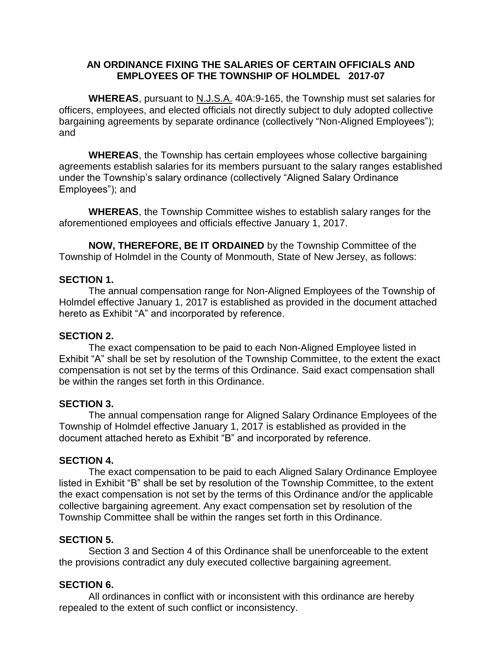## **AN ORDINANCE FIXING THE SALARIES OF CERTAIN OFFICIALS AND EMPLOYEES OF THE TOWNSHIP OF HOLMDEL 2017-07**

**WHEREAS**, pursuant to N.J.S.A. 40A:9-165, the Township must set salaries for officers, employees, and elected officials not directly subject to duly adopted collective bargaining agreements by separate ordinance (collectively "Non-Aligned Employees"); and

**WHEREAS**, the Township has certain employees whose collective bargaining agreements establish salaries for its members pursuant to the salary ranges established under the Township's salary ordinance (collectively "Aligned Salary Ordinance Employees"); and

**WHEREAS**, the Township Committee wishes to establish salary ranges for the aforementioned employees and officials effective January 1, 2017.

**NOW, THEREFORE, BE IT ORDAINED** by the Township Committee of the Township of Holmdel in the County of Monmouth, State of New Jersey, as follows:

### **SECTION 1.**

The annual compensation range for Non-Aligned Employees of the Township of Holmdel effective January 1, 2017 is established as provided in the document attached hereto as Exhibit "A" and incorporated by reference.

#### **SECTION 2.**

The exact compensation to be paid to each Non-Aligned Employee listed in Exhibit "A" shall be set by resolution of the Township Committee, to the extent the exact compensation is not set by the terms of this Ordinance. Said exact compensation shall be within the ranges set forth in this Ordinance.

#### **SECTION 3.**

The annual compensation range for Aligned Salary Ordinance Employees of the Township of Holmdel effective January 1, 2017 is established as provided in the document attached hereto as Exhibit "B" and incorporated by reference.

#### **SECTION 4.**

The exact compensation to be paid to each Aligned Salary Ordinance Employee listed in Exhibit "B" shall be set by resolution of the Township Committee, to the extent the exact compensation is not set by the terms of this Ordinance and/or the applicable collective bargaining agreement. Any exact compensation set by resolution of the Township Committee shall be within the ranges set forth in this Ordinance.

# **SECTION 5.**

Section 3 and Section 4 of this Ordinance shall be unenforceable to the extent the provisions contradict any duly executed collective bargaining agreement.

# **SECTION 6.**

All ordinances in conflict with or inconsistent with this ordinance are hereby repealed to the extent of such conflict or inconsistency.